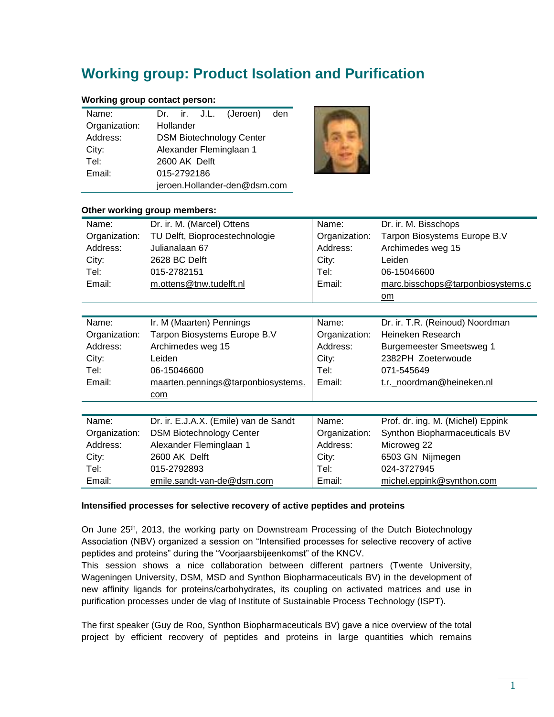# **Working group: Product Isolation and Purification**

## **Working group contact person:**

| Name:         |                                 |                         |  | Dr. ir. J.L. (Jeroen) den |  |  |
|---------------|---------------------------------|-------------------------|--|---------------------------|--|--|
| Organization: | Hollander                       |                         |  |                           |  |  |
| Address:      | <b>DSM Biotechnology Center</b> |                         |  |                           |  |  |
| City:         |                                 | Alexander Fleminglaan 1 |  |                           |  |  |
| Tel:          | 2600 AK Delft                   |                         |  |                           |  |  |
| Email:        | 015-2792186                     |                         |  |                           |  |  |
|               | jeroen.Hollander-den@dsm.com    |                         |  |                           |  |  |



#### **Other working group members:**

| Name:         | Dr. ir. M. (Marcel) Ottens            | Name:         | Dr. ir. M. Bisschops              |  |
|---------------|---------------------------------------|---------------|-----------------------------------|--|
| Organization: | TU Delft, Bioprocestechnologie        | Organization: | Tarpon Biosystems Europe B.V      |  |
| Address:      | Julianalaan 67                        | Address:      | Archimedes weg 15                 |  |
| City:         | 2628 BC Delft                         | City:         | Leiden                            |  |
| Tel:          | 015-2782151                           | Tel:          | 06-15046600                       |  |
| Email:        | m.ottens@tnw.tudelft.nl               | Email:        | marc.bisschops@tarponbiosystems.c |  |
|               |                                       |               | om                                |  |
|               |                                       |               |                                   |  |
| Name:         | Ir. M (Maarten) Pennings              | Name:         | Dr. ir. T.R. (Reinoud) Noordman   |  |
| Organization: | Tarpon Biosystems Europe B.V          | Organization: | Heineken Research                 |  |
| Address:      | Archimedes weg 15                     | Address:      | <b>Burgemeester Smeetsweg 1</b>   |  |
| City:         | Leiden                                | City:         | 2382PH Zoeterwoude                |  |
| Tel:          | 06-15046600                           | Tel:          | 071-545649                        |  |
| Email:        | maarten.pennings@tarponbiosystems.    | Email:        | t.r._noordman@heineken.nl         |  |
|               | com                                   |               |                                   |  |
|               |                                       |               |                                   |  |
| Name:         | Dr. ir. E.J.A.X. (Emile) van de Sandt | Name:         | Prof. dr. ing. M. (Michel) Eppink |  |
| Organization: | <b>DSM Biotechnology Center</b>       | Organization: | Synthon Biopharmaceuticals BV     |  |
| Address:      | Alexander Fleminglaan 1               | Address:      | Microweg 22                       |  |
| City:         | 2600 AK Delft                         | City:         | 6503 GN Nijmegen                  |  |
| Tel:          | 015-2792893                           | Tel:          | 024-3727945                       |  |
| Email:        | emile.sandt-van-de@dsm.com            | Email:        | michel.eppink@synthon.com         |  |

#### **Intensified processes for selective recovery of active peptides and proteins**

On June 25<sup>th</sup>, 2013, the working party on Downstream Processing of the Dutch Biotechnology Association (NBV) organized a session on "Intensified processes for selective recovery of active peptides and proteins" during the "Voorjaarsbijeenkomst" of the KNCV.

This session shows a nice collaboration between different partners (Twente University, Wageningen University, DSM, MSD and Synthon Biopharmaceuticals BV) in the development of new affinity ligands for proteins/carbohydrates, its coupling on activated matrices and use in purification processes under de vlag of Institute of Sustainable Process Technology (ISPT).

The first speaker (Guy de Roo, Synthon Biopharmaceuticals BV) gave a nice overview of the total project by efficient recovery of peptides and proteins in large quantities which remains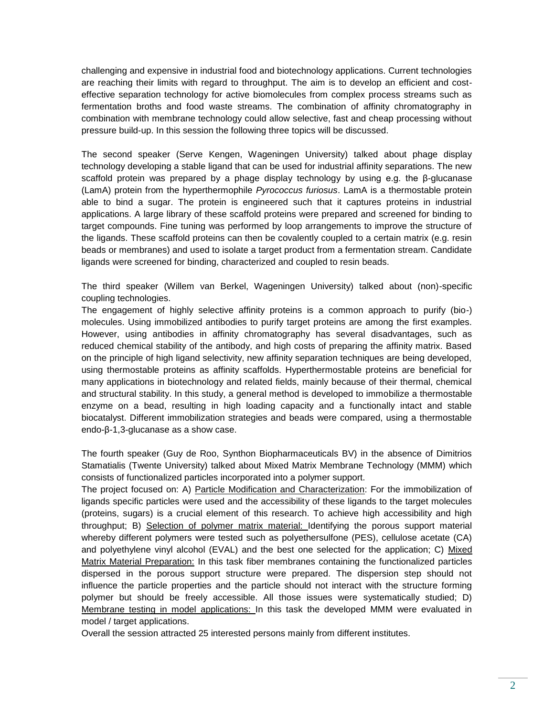challenging and expensive in industrial food and biotechnology applications. Current technologies are reaching their limits with regard to throughput. The aim is to develop an efficient and costeffective separation technology for active biomolecules from complex process streams such as fermentation broths and food waste streams. The combination of affinity chromatography in combination with membrane technology could allow selective, fast and cheap processing without pressure build-up. In this session the following three topics will be discussed.

The second speaker (Serve Kengen, Wageningen University) talked about phage display technology developing a stable ligand that can be used for industrial affinity separations. The new scaffold protein was prepared by a phage display technology by using e.g. the  $\beta$ -glucanase (LamA) protein from the hyperthermophile *Pyrococcus furiosus*. LamA is a thermostable protein able to bind a sugar. The protein is engineered such that it captures proteins in industrial applications. A large library of these scaffold proteins were prepared and screened for binding to target compounds. Fine tuning was performed by loop arrangements to improve the structure of the ligands. These scaffold proteins can then be covalently coupled to a certain matrix (e.g. resin beads or membranes) and used to isolate a target product from a fermentation stream. Candidate ligands were screened for binding, characterized and coupled to resin beads.

The third speaker (Willem van Berkel, Wageningen University) talked about (non)-specific coupling technologies.

The engagement of highly selective affinity proteins is a common approach to purify (bio-) molecules. Using immobilized antibodies to purify target proteins are among the first examples. However, using antibodies in affinity chromatography has several disadvantages, such as reduced chemical stability of the antibody, and high costs of preparing the affinity matrix. Based on the principle of high ligand selectivity, new affinity separation techniques are being developed, using thermostable proteins as affinity scaffolds. Hyperthermostable proteins are beneficial for many applications in biotechnology and related fields, mainly because of their thermal, chemical and structural stability. In this study, a general method is developed to immobilize a thermostable enzyme on a bead, resulting in high loading capacity and a functionally intact and stable biocatalyst. Different immobilization strategies and beads were compared, using a thermostable endo-β-1,3-glucanase as a show case.

The fourth speaker (Guy de Roo, Synthon Biopharmaceuticals BV) in the absence of Dimitrios Stamatialis (Twente University) talked about Mixed Matrix Membrane Technology (MMM) which consists of functionalized particles incorporated into a polymer support.

The project focused on: A) Particle Modification and Characterization: For the immobilization of ligands specific particles were used and the accessibility of these ligands to the target molecules (proteins, sugars) is a crucial element of this research. To achieve high accessibility and high throughput; B) Selection of polymer matrix material: Identifying the porous support material whereby different polymers were tested such as polyethersulfone (PES), cellulose acetate (CA) and polyethylene vinyl alcohol (EVAL) and the best one selected for the application; C) Mixed Matrix Material Preparation: In this task fiber membranes containing the functionalized particles dispersed in the porous support structure were prepared. The dispersion step should not influence the particle properties and the particle should not interact with the structure forming polymer but should be freely accessible. All those issues were systematically studied; D) Membrane testing in model applications: In this task the developed MMM were evaluated in model / target applications.

Overall the session attracted 25 interested persons mainly from different institutes.